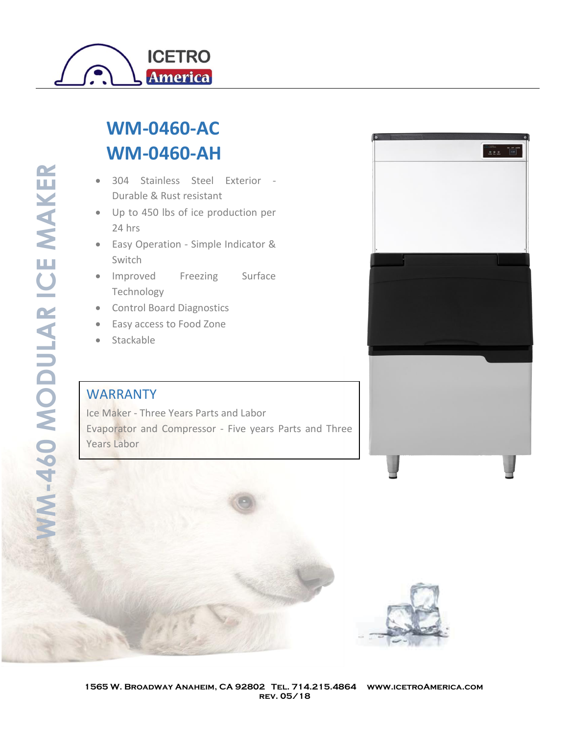

## **WM-0460-AC WM-0460-AH**

- 304 Stainless Steel Exterior Durable & Rust resistant
- Up to 450 lbs of ice production per 24 hrs
- Easy Operation Simple Indicator & Switch
- Improved Freezing Surface Technology
- Control Board Diagnostics
- Easy access to Food Zone
- **Stackable**

## **WARRANTY**

Ice Maker - Three Years Parts and Labor Evaporator and Compressor - Five years Parts and Three Years Labor